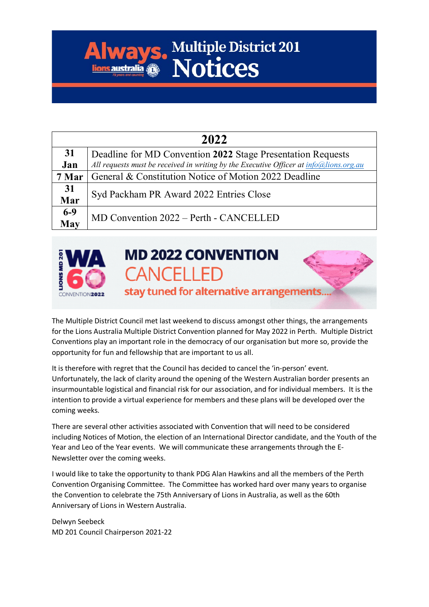## **Always. Multiple District 201**

| 2022         |                                                                                                                                                         |
|--------------|---------------------------------------------------------------------------------------------------------------------------------------------------------|
| 31<br>Jan    | Deadline for MD Convention 2022 Stage Presentation Requests<br>All requests must be received in writing by the Executive Officer at $info@lions.org.au$ |
| 7 Mar        | General & Constitution Notice of Motion 2022 Deadline                                                                                                   |
| 31<br>Mar    | Syd Packham PR Award 2022 Entries Close                                                                                                                 |
| $6-9$<br>May | MD Convention 2022 - Perth - CANCELLED                                                                                                                  |



The Multiple District Council met last weekend to discuss amongst other things, the arrangements for the Lions Australia Multiple District Convention planned for May 2022 in Perth. Multiple District Conventions play an important role in the democracy of our organisation but more so, provide the opportunity for fun and fellowship that are important to us all.

It is therefore with regret that the Council has decided to cancel the 'in-person' event. Unfortunately, the lack of clarity around the opening of the Western Australian border presents an insurmountable logistical and financial risk for our association, and for individual members. It is the intention to provide a virtual experience for members and these plans will be developed over the coming weeks.

There are several other activities associated with Convention that will need to be considered including Notices of Motion, the election of an International Director candidate, and the Youth of the Year and Leo of the Year events. We will communicate these arrangements through the E-Newsletter over the coming weeks.

I would like to take the opportunity to thank PDG Alan Hawkins and all the members of the Perth Convention Organising Committee. The Committee has worked hard over many years to organise the Convention to celebrate the 75th Anniversary of Lions in Australia, as well as the 60th Anniversary of Lions in Western Australia.

Delwyn Seebeck MD 201 Council Chairperson 2021-22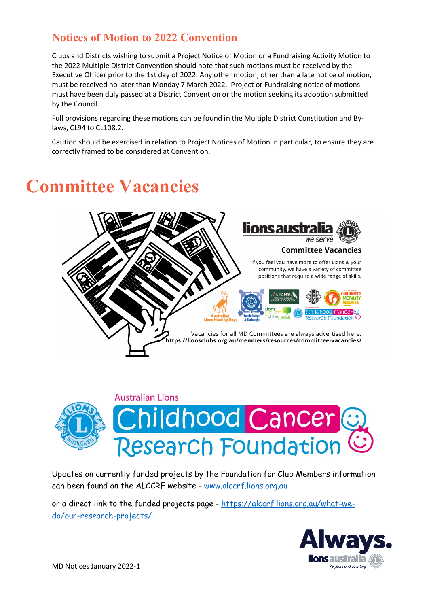## **Notices of Motion to 2022 Convention**

Clubs and Districts wishing to submit a Project Notice of Motion or a Fundraising Activity Motion to the 2022 Multiple District Convention should note that such motions must be received by the Executive Officer prior to the 1st day of 2022. Any other motion, other than a late notice of motion, must be received no later than Monday 7 March 2022. Project or Fundraising notice of motions must have been duly passed at a District Convention or the motion seeking its adoption submitted by the Council.

Full provisions regarding these motions can be found in the Multiple District Constitution and Bylaws, CL94 to CL108.2.

Caution should be exercised in relation to Project Notices of Motion in particular, to ensure they are correctly framed to be considered at Convention.

## **Committee Vacancies**





Updates on currently funded projects by the Foundation for Club Members information can been found on the ALCCRF website - [www.alccrf.lions.org.au](http://www.alccrf.lions.org.au/)

or a direct link to the funded projects page - [https://alccrf.lions.org.au/what-we](https://alccrf.lions.org.au/what-we-do/our-research-projects/)[do/our-research-projects/](https://alccrf.lions.org.au/what-we-do/our-research-projects/)